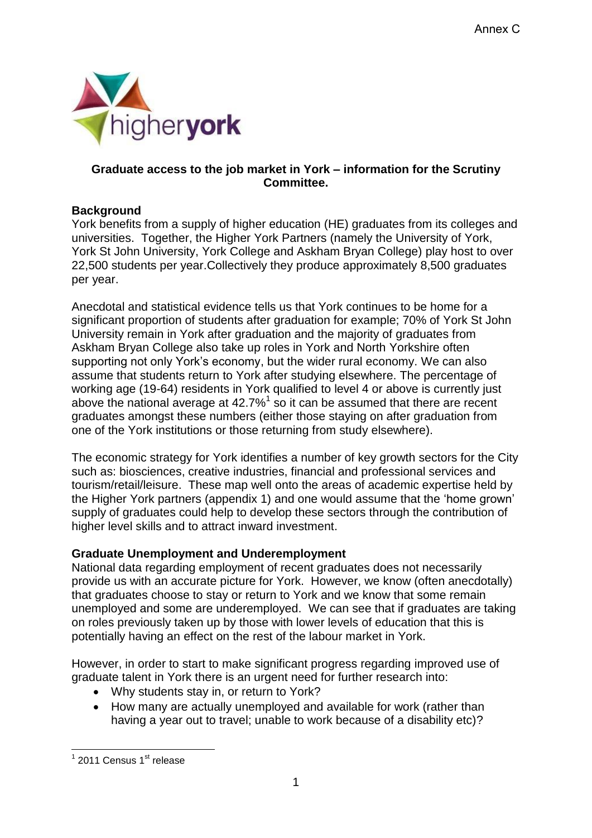

# **Graduate access to the job market in York – information for the Scrutiny Committee.**

## **Background**

York benefits from a supply of higher education (HE) graduates from its colleges and universities. Together, the Higher York Partners (namely the University of York, York St John University, York College and Askham Bryan College) play host to over 22,500 students per year.Collectively they produce approximately 8,500 graduates per year.

Anecdotal and statistical evidence tells us that York continues to be home for a significant proportion of students after graduation for example; 70% of York St John University remain in York after graduation and the majority of graduates from Askham Bryan College also take up roles in York and North Yorkshire often supporting not only York's economy, but the wider rural economy. We can also assume that students return to York after studying elsewhere. The percentage of working age (19-64) residents in York qualified to level 4 or above is currently just above the national average at  $42.7\%$ <sup>1</sup> so it can be assumed that there are recent graduates amongst these numbers (either those staying on after graduation from one of the York institutions or those returning from study elsewhere).

The economic strategy for York identifies a number of key growth sectors for the City such as: biosciences, creative industries, financial and professional services and tourism/retail/leisure. These map well onto the areas of academic expertise held by the Higher York partners (appendix 1) and one would assume that the 'home grown' supply of graduates could help to develop these sectors through the contribution of higher level skills and to attract inward investment.

# **Graduate Unemployment and Underemployment**

National data regarding employment of recent graduates does not necessarily provide us with an accurate picture for York. However, we know (often anecdotally) that graduates choose to stay or return to York and we know that some remain unemployed and some are underemployed. We can see that if graduates are taking on roles previously taken up by those with lower levels of education that this is potentially having an effect on the rest of the labour market in York.

However, in order to start to make significant progress regarding improved use of graduate talent in York there is an urgent need for further research into:

- Why students stay in, or return to York?
- How many are actually unemployed and available for work (rather than having a year out to travel; unable to work because of a disability etc)?

<sup>1&</sup>lt;br><sup>1</sup> 2011 Census 1<sup>st</sup> release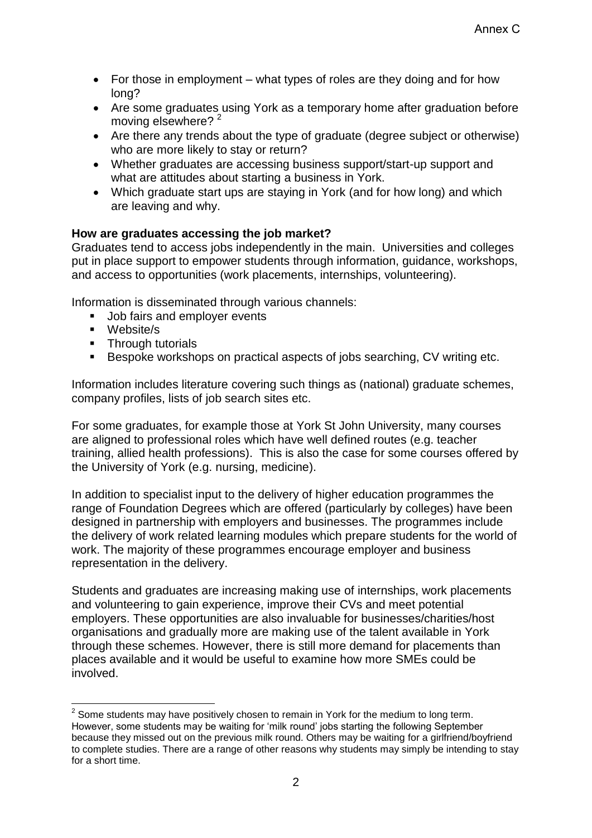- For those in employment what types of roles are they doing and for how long?
- Are some graduates using York as a temporary home after graduation before moving elsewhere? <sup>2</sup>
- Are there any trends about the type of graduate (degree subject or otherwise) who are more likely to stay or return?
- Whether graduates are accessing business support/start-up support and what are attitudes about starting a business in York.
- Which graduate start ups are staying in York (and for how long) and which are leaving and why.

# **How are graduates accessing the job market?**

Graduates tend to access jobs independently in the main. Universities and colleges put in place support to empower students through information, guidance, workshops, and access to opportunities (work placements, internships, volunteering).

Information is disseminated through various channels:

- Job fairs and employer events
- Website/s
- **Through tutorials**
- Bespoke workshops on practical aspects of jobs searching, CV writing etc.

Information includes literature covering such things as (national) graduate schemes, company profiles, lists of job search sites etc.

For some graduates, for example those at York St John University, many courses are aligned to professional roles which have well defined routes (e.g. teacher training, allied health professions). This is also the case for some courses offered by the University of York (e.g. nursing, medicine).

In addition to specialist input to the delivery of higher education programmes the range of Foundation Degrees which are offered (particularly by colleges) have been designed in partnership with employers and businesses. The programmes include the delivery of work related learning modules which prepare students for the world of work. The majority of these programmes encourage employer and business representation in the delivery.

Students and graduates are increasing making use of internships, work placements and volunteering to gain experience, improve their CVs and meet potential employers. These opportunities are also invaluable for businesses/charities/host organisations and gradually more are making use of the talent available in York through these schemes. However, there is still more demand for placements than places available and it would be useful to examine how more SMEs could be involved.

 2 Some students may have positively chosen to remain in York for the medium to long term. However, some students may be waiting for 'milk round' jobs starting the following September because they missed out on the previous milk round. Others may be waiting for a girlfriend/boyfriend to complete studies. There are a range of other reasons why students may simply be intending to stay for a short time.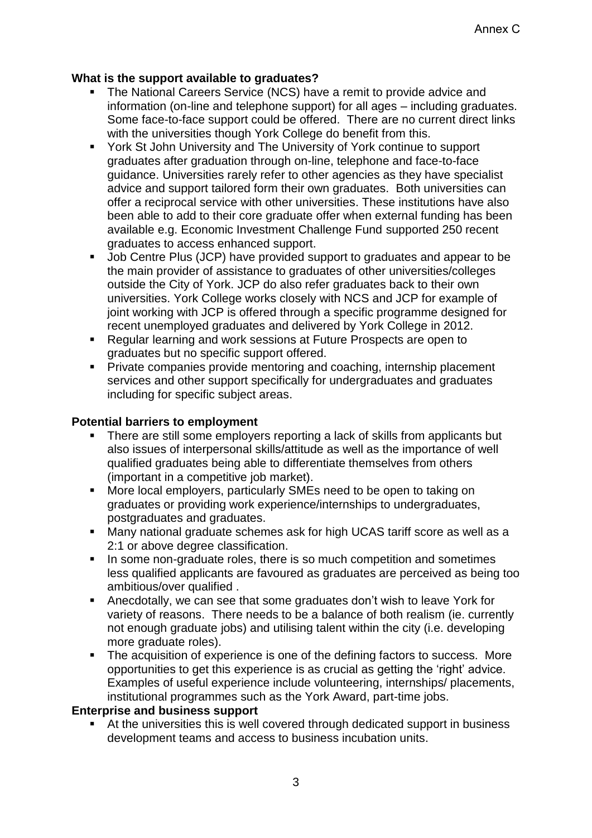# **What is the support available to graduates?**

- The National Careers Service (NCS) have a remit to provide advice and information (on-line and telephone support) for all ages – including graduates. Some face-to-face support could be offered. There are no current direct links with the universities though York College do benefit from this.
- York St John University and The University of York continue to support graduates after graduation through on-line, telephone and face-to-face guidance. Universities rarely refer to other agencies as they have specialist advice and support tailored form their own graduates. Both universities can offer a reciprocal service with other universities. These institutions have also been able to add to their core graduate offer when external funding has been available e.g. Economic Investment Challenge Fund supported 250 recent graduates to access enhanced support.
- Job Centre Plus (JCP) have provided support to graduates and appear to be the main provider of assistance to graduates of other universities/colleges outside the City of York. JCP do also refer graduates back to their own universities. York College works closely with NCS and JCP for example of joint working with JCP is offered through a specific programme designed for recent unemployed graduates and delivered by York College in 2012.
- Regular learning and work sessions at Future Prospects are open to graduates but no specific support offered.
- **Private companies provide mentoring and coaching, internship placement** services and other support specifically for undergraduates and graduates including for specific subject areas.

# **Potential barriers to employment**

- There are still some employers reporting a lack of skills from applicants but also issues of interpersonal skills/attitude as well as the importance of well qualified graduates being able to differentiate themselves from others (important in a competitive job market).
- More local employers, particularly SMEs need to be open to taking on graduates or providing work experience/internships to undergraduates, postgraduates and graduates.
- Many national graduate schemes ask for high UCAS tariff score as well as a 2:1 or above degree classification.
- In some non-graduate roles, there is so much competition and sometimes less qualified applicants are favoured as graduates are perceived as being too ambitious/over qualified .
- Anecdotally, we can see that some graduates don't wish to leave York for variety of reasons. There needs to be a balance of both realism (ie. currently not enough graduate jobs) and utilising talent within the city (i.e. developing more graduate roles).
- The acquisition of experience is one of the defining factors to success. More opportunities to get this experience is as crucial as getting the 'right' advice. Examples of useful experience include volunteering, internships/ placements, institutional programmes such as the York Award, part-time jobs.

## **Enterprise and business support**

 At the universities this is well covered through dedicated support in business development teams and access to business incubation units.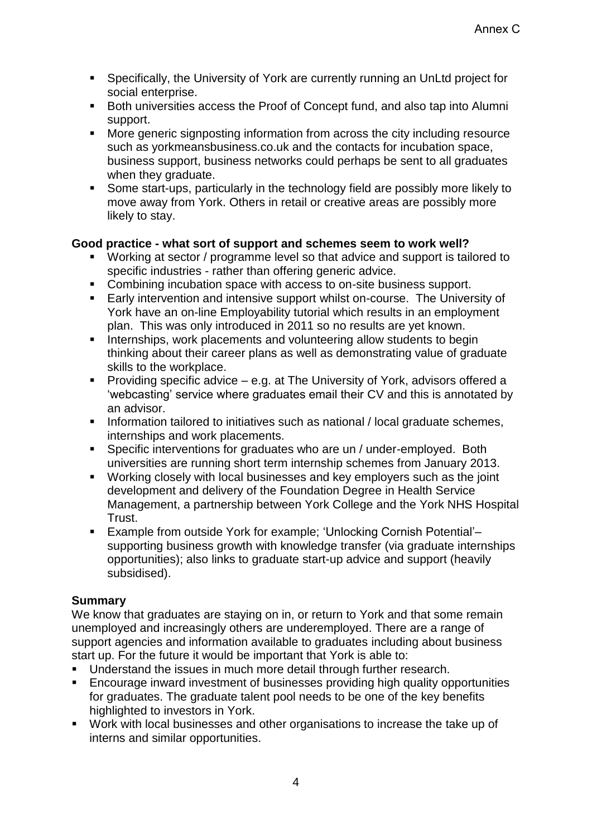- Specifically, the University of York are currently running an UnLtd project for social enterprise.
- **Both universities access the Proof of Concept fund, and also tap into Alumni** support.
- More generic signposting information from across the city including resource such as yorkmeansbusiness.co.uk and the contacts for incubation space, business support, business networks could perhaps be sent to all graduates when they graduate.
- Some start-ups, particularly in the technology field are possibly more likely to move away from York. Others in retail or creative areas are possibly more likely to stay.

# **Good practice - what sort of support and schemes seem to work well?**

- Working at sector / programme level so that advice and support is tailored to specific industries - rather than offering generic advice.
- Combining incubation space with access to on-site business support.
- Early intervention and intensive support whilst on-course. The University of York have an on-line Employability tutorial which results in an employment plan. This was only introduced in 2011 so no results are yet known.
- **Internships, work placements and volunteering allow students to begin** thinking about their career plans as well as demonstrating value of graduate skills to the workplace.
- **Providing specific advice e.g. at The University of York, advisors offered a** 'webcasting' service where graduates email their CV and this is annotated by an advisor.
- **Information tailored to initiatives such as national / local graduate schemes,** internships and work placements.
- Specific interventions for graduates who are un / under-employed. Both universities are running short term internship schemes from January 2013.
- Working closely with local businesses and key employers such as the joint development and delivery of the Foundation Degree in Health Service Management, a partnership between York College and the York NHS Hospital Trust.
- Example from outside York for example; 'Unlocking Cornish Potential'– supporting business growth with knowledge transfer (via graduate internships opportunities); also links to graduate start-up advice and support (heavily subsidised).

# **Summary**

We know that graduates are staying on in, or return to York and that some remain unemployed and increasingly others are underemployed. There are a range of support agencies and information available to graduates including about business start up. For the future it would be important that York is able to:

- **Understand the issues in much more detail through further research.**
- Encourage inward investment of businesses providing high quality opportunities for graduates. The graduate talent pool needs to be one of the key benefits highlighted to investors in York.
- Work with local businesses and other organisations to increase the take up of interns and similar opportunities.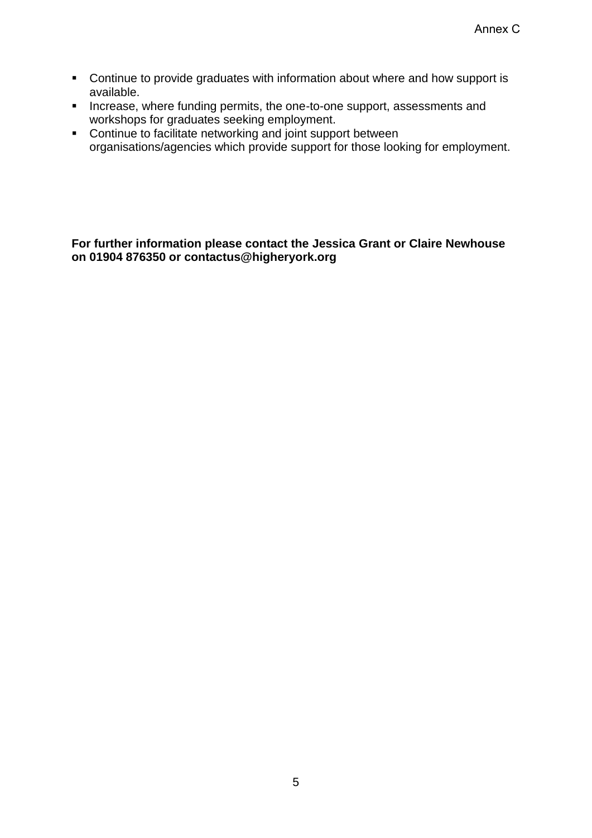- **Continue to provide graduates with information about where and how support is** available.
- **Increase, where funding permits, the one-to-one support, assessments and** workshops for graduates seeking employment.
- Continue to facilitate networking and joint support between organisations/agencies which provide support for those looking for employment.

## **For further information please contact the Jessica Grant or Claire Newhouse on 01904 876350 or contactus@higheryork.org**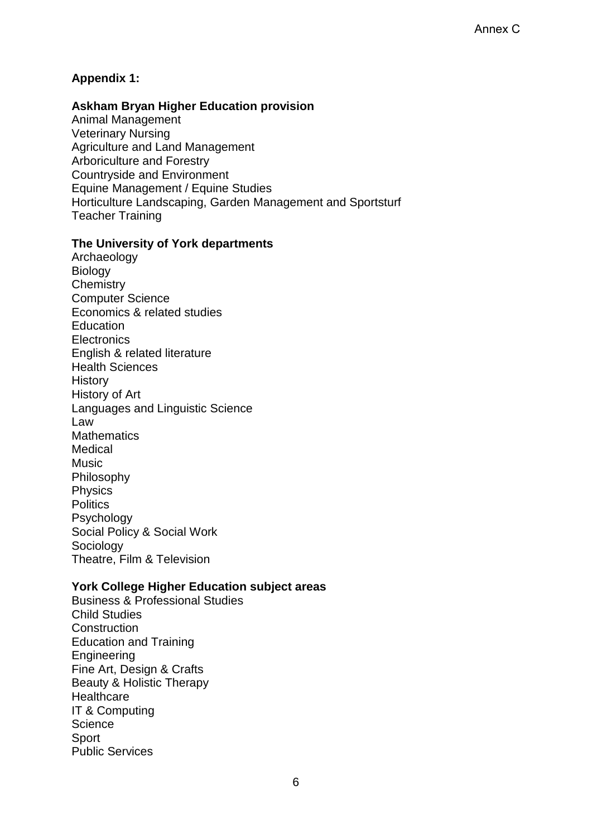# **Appendix 1:**

## **Askham Bryan Higher Education provision**

Animal Management Veterinary Nursing Agriculture and Land Management Arboriculture and Forestry Countryside and Environment Equine Management / Equine Studies Horticulture Landscaping, Garden Management and Sportsturf Teacher Training

#### **The University of York departments**

Archaeology Biology **Chemistry** Computer Science Economics & related studies **Education Electronics** English & related literature Health Sciences **History** History of Art Languages and Linguistic Science Law **Mathematics** Medical Music Philosophy Physics **Politics** Psychology Social Policy & Social Work Sociology Theatre, Film & Television

## **York College Higher Education subject areas**

Business & Professional Studies Child Studies **Construction** Education and Training **Engineering** Fine Art, Design & Crafts Beauty & Holistic Therapy **Healthcare** IT & Computing **Science Sport** Public Services